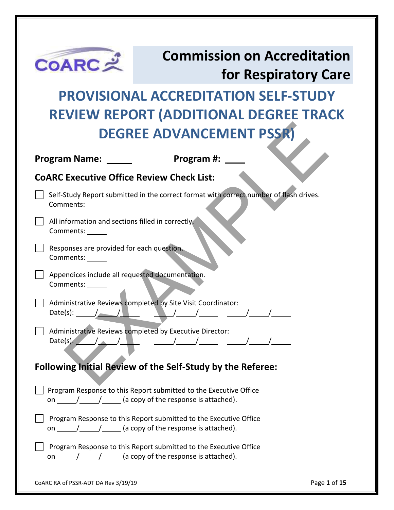

### **Commission on Accreditation for Respiratory Care**

## **PROVISIONAL ACCREDITATION SELF-STUDY REVIEW REPORT (ADDITIONAL DEGREE TRACK DEGREE ADVANCEMENT PSSR)**

| <b>DEGREE ADVANCEMENT PSSR)</b>                                                                                                                                                                                                                                                                                                                                                                                                                                                          |
|------------------------------------------------------------------------------------------------------------------------------------------------------------------------------------------------------------------------------------------------------------------------------------------------------------------------------------------------------------------------------------------------------------------------------------------------------------------------------------------|
| Program #: ____<br><b>Program Name:</b>                                                                                                                                                                                                                                                                                                                                                                                                                                                  |
| <b>COARC Executive Office Review Check List:</b>                                                                                                                                                                                                                                                                                                                                                                                                                                         |
| Self-Study Report submitted in the correct format with correct number of flash drives.<br>Comments: ______                                                                                                                                                                                                                                                                                                                                                                               |
| All information and sections filled in correctly.<br>Comments: ______                                                                                                                                                                                                                                                                                                                                                                                                                    |
| Responses are provided for each question.<br>Comments:                                                                                                                                                                                                                                                                                                                                                                                                                                   |
| Appendices include all requested documentation.<br>Comments:                                                                                                                                                                                                                                                                                                                                                                                                                             |
| Administrative Reviews completed by Site Visit Coordinator:                                                                                                                                                                                                                                                                                                                                                                                                                              |
| Administrative Reviews completed by Executive Director:<br>Date(s): $\sqrt{2\pi}$ , $\sqrt{2\pi}$ , $\sqrt{2\pi}$ , $\sqrt{2\pi}$ , $\sqrt{2\pi}$ , $\sqrt{2\pi}$                                                                                                                                                                                                                                                                                                                        |
| <b>Following Initial Review of the Self-Study by the Referee:</b>                                                                                                                                                                                                                                                                                                                                                                                                                        |
| Program Response to this Report submitted to the Executive Office<br>on $\frac{1}{\sqrt{1-\frac{1}{1-\frac{1}{1-\frac{1}{1-\frac{1}{1-\frac{1}{1-\frac{1}{1-\frac{1}{1-\frac{1}{1-\frac{1}{1-\frac{1}{1-\frac{1}{1-\frac{1}{1-\frac{1}{1-\frac{1}{1-\frac{1}{1-\frac{1}{1-\frac{1}{1-\frac{1}{1-\frac{1}{1-\frac{1}{1-\frac{1}{1-\frac{1}{1-\frac{1}{1-\frac{1}{1-\frac{1}{1-\frac{1}{1-\frac{1}{1-\frac{1}{1-\frac{1}{1-\frac{1}{1-\frac{1}{1-\frac{1}{1-\frac{1}{1-\frac{1}{1-\frac{1$ |
| Program Response to this Report submitted to the Executive Office<br>on $\frac{1}{\sqrt{1-\frac{1}{1-\frac{1}{1-\frac{1}{1-\frac{1}{1-\frac{1}{1-\frac{1}{1-\frac{1}{1-\frac{1}{1-\frac{1}{1-\frac{1}{1-\frac{1}{1-\frac{1}{1-\frac{1}{1-\frac{1}{1-\frac{1}{1-\frac{1}{1-\frac{1}{1-\frac{1}{1-\frac{1}{1-\frac{1}{1-\frac{1}{1-\frac{1}{1-\frac{1}{1-\frac{1}{1-\frac{1}{1-\frac{1}{1-\frac{1}{1-\frac{1}{1-\frac{1}{1-\frac{1}{1-\frac{1}{1-\frac{1}{1-\frac{1}{1-\frac{1}{1-\frac{1$ |
| Program Response to this Report submitted to the Executive Office<br>on $\frac{1}{\sqrt{1-\frac{1}{1-\frac{1}{1-\frac{1}{1-\frac{1}{1-\frac{1}{1-\frac{1}{1-\frac{1}{1-\frac{1}{1-\frac{1}{1-\frac{1}{1-\frac{1}{1-\frac{1}{1-\frac{1}{1-\frac{1}{1-\frac{1}{1-\frac{1}{1-\frac{1}{1-\frac{1}{1-\frac{1}{1-\frac{1}{1-\frac{1}{1-\frac{1}{1-\frac{1}{1-\frac{1}{1-\frac{1}{1-\frac{1}{1-\frac{1}{1-\frac{1}{1-\frac{1}{1-\frac{1}{1-\frac{1}{1-\frac{1}{1-\frac{1}{1-\frac{1}{1-\frac{1$ |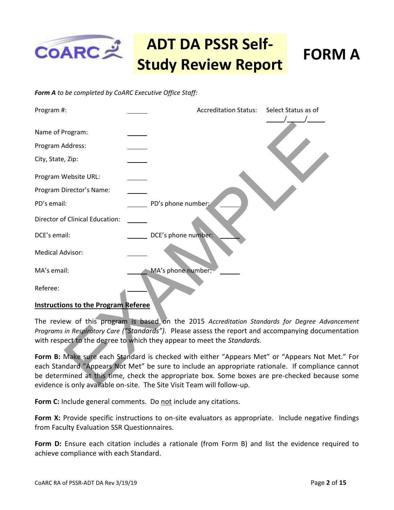

#### *Form A to be completed by CoARC Executive Office Staff:*



#### **Instructions to the Program Referee**

The review of this program is based on the 2015 *Accreditation Standards for Degree Advancement Programs in Respiratory Care ("Standards").* Please assess the report and accompanying documentation with respect to the degree to which they appear to meet the *Standards.* 

**Form B:** Make sure each Standard is checked with either "Appears Met" or "Appears Not Met." For each Standard "Appears Not Met" be sure to include an appropriate rationale. If compliance cannot be determined at this time, check the appropriate box. Some boxes are pre-checked because some evidence is only available on-site. The Site Visit Team will follow-up.

Form C: Include general comments. Do not include any citations.

**Form X:** Provide specific instructions to on-site evaluators as appropriate. Include negative findings from Faculty Evaluation SSR Questionnaires.

**Form D:** Ensure each citation includes a rationale (from Form B) and list the evidence required to achieve compliance with each Standard.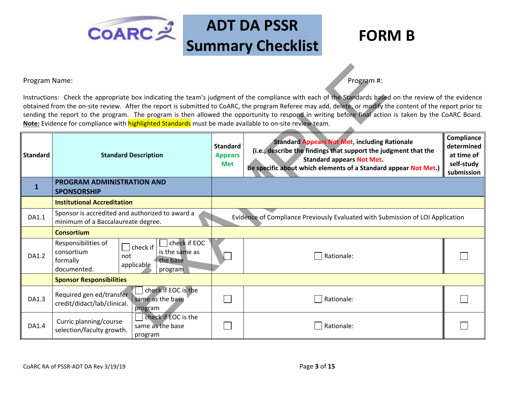

|                                                                                                | Program #:<br>Program Name:<br>Instructions: Check the appropriate box indicating the team's judgment of the compliance with each of the Standards based on the review of the evidence<br>obtained from the on-site review. After the report is submitted to CoARC, the program Referee may add, delete, or modify the content of the report prior to<br>sending the report to the program. The program is then allowed the opportunity to respond in writing before final action is taken by the CoARC Board.<br>Note: Evidence for compliance with highlighted Standards must be made available to on-site review team. |                                                 |                                                                                                                                                                                                                                |                                                                    |  |  |
|------------------------------------------------------------------------------------------------|---------------------------------------------------------------------------------------------------------------------------------------------------------------------------------------------------------------------------------------------------------------------------------------------------------------------------------------------------------------------------------------------------------------------------------------------------------------------------------------------------------------------------------------------------------------------------------------------------------------------------|-------------------------------------------------|--------------------------------------------------------------------------------------------------------------------------------------------------------------------------------------------------------------------------------|--------------------------------------------------------------------|--|--|
| <b>Standard</b>                                                                                | <b>Standard Description</b>                                                                                                                                                                                                                                                                                                                                                                                                                                                                                                                                                                                               | <b>Standard</b><br><b>Appears</b><br><b>Met</b> | <b>Standard Appears Not Met, including Rationale</b><br>(i.e., describe the findings that support the judgment that the<br><b>Standard appears Not Met.</b><br>Be specific about which elements of a Standard appear Not Met.) | Compliance<br>determined<br>at time of<br>self-study<br>submission |  |  |
| $\mathbf{1}$                                                                                   | PROGRAM ADMINISTRATION AND<br><b>SPONSORSHIP</b>                                                                                                                                                                                                                                                                                                                                                                                                                                                                                                                                                                          |                                                 |                                                                                                                                                                                                                                |                                                                    |  |  |
|                                                                                                | <b>Institutional Accreditation</b>                                                                                                                                                                                                                                                                                                                                                                                                                                                                                                                                                                                        |                                                 |                                                                                                                                                                                                                                |                                                                    |  |  |
| Sponsor is accredited and authorized to award a<br>DA1.1<br>minimum of a Baccalaureate degree. |                                                                                                                                                                                                                                                                                                                                                                                                                                                                                                                                                                                                                           |                                                 | Evidence of Compliance Previously Evaluated with Submission of LOI Application                                                                                                                                                 |                                                                    |  |  |
|                                                                                                | <b>Consortium</b>                                                                                                                                                                                                                                                                                                                                                                                                                                                                                                                                                                                                         |                                                 |                                                                                                                                                                                                                                |                                                                    |  |  |
| DA1.2                                                                                          | check if EOC<br>Responsibilities of<br>$\vert$ check if<br>consortium<br>is the same as<br>not<br>formally<br>the base<br>applicable<br>documented.<br>program                                                                                                                                                                                                                                                                                                                                                                                                                                                            |                                                 | Rationale:                                                                                                                                                                                                                     |                                                                    |  |  |
|                                                                                                | <b>Sponsor Responsibilities</b>                                                                                                                                                                                                                                                                                                                                                                                                                                                                                                                                                                                           |                                                 |                                                                                                                                                                                                                                |                                                                    |  |  |
| DA1.3                                                                                          | check if EOC is the<br>Required gen ed/transfer<br>same as the base<br>credit/didact/lab/clinical.<br>program                                                                                                                                                                                                                                                                                                                                                                                                                                                                                                             |                                                 | Rationale:                                                                                                                                                                                                                     |                                                                    |  |  |
| DA1.4                                                                                          | check if EOC is the<br>Curric planning/course<br>same as the base<br>selection/faculty growth.<br>program                                                                                                                                                                                                                                                                                                                                                                                                                                                                                                                 |                                                 | Rationale:                                                                                                                                                                                                                     |                                                                    |  |  |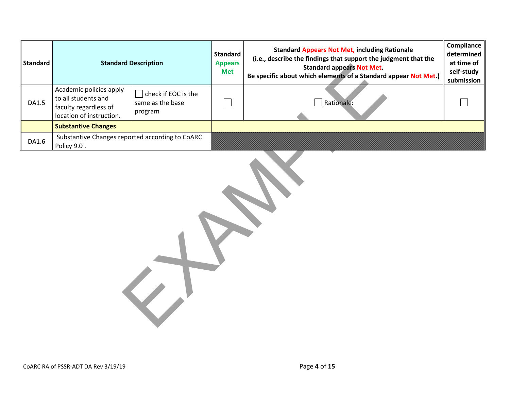| <b>Standard</b> |                                                                                                     | <b>Standard Description</b>                        | <b>Standard</b><br><b>Appears</b><br><b>Met</b> | <b>Standard Appears Not Met, including Rationale</b><br>(i.e., describe the findings that support the judgment that the<br><b>Standard appears Not Met.</b><br>Be specific about which elements of a Standard appear Not Met.) | Compliance<br>determined<br>at time of<br>self-study<br>submission |
|-----------------|-----------------------------------------------------------------------------------------------------|----------------------------------------------------|-------------------------------------------------|--------------------------------------------------------------------------------------------------------------------------------------------------------------------------------------------------------------------------------|--------------------------------------------------------------------|
| <b>DA1.5</b>    | Academic policies apply<br>to all students and<br>faculty regardless of<br>location of instruction. | check if EOC is the<br>same as the base<br>program |                                                 | $\Box$ Rationale:                                                                                                                                                                                                              |                                                                    |
|                 | <b>Substantive Changes</b>                                                                          |                                                    |                                                 |                                                                                                                                                                                                                                |                                                                    |
| DA1.6           | Substantive Changes reported according to CoARC<br>Policy 9.0.                                      |                                                    |                                                 |                                                                                                                                                                                                                                |                                                                    |
|                 |                                                                                                     |                                                    |                                                 |                                                                                                                                                                                                                                |                                                                    |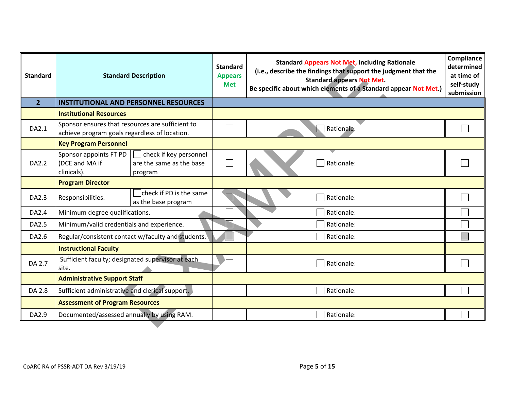| <b>Standard</b> |                                                                                                   | <b>Standard Description</b>                                   | <b>Standard</b><br><b>Appears</b><br><b>Met</b> | <b>Standard Appears Not Met, including Rationale</b><br>(i.e., describe the findings that support the judgment that the<br><b>Standard appears Not Met.</b><br>Be specific about which elements of a Standard appear Not Met.) | Compliance<br>determined<br>at time of<br>self-study<br>submission |
|-----------------|---------------------------------------------------------------------------------------------------|---------------------------------------------------------------|-------------------------------------------------|--------------------------------------------------------------------------------------------------------------------------------------------------------------------------------------------------------------------------------|--------------------------------------------------------------------|
| $\overline{2}$  |                                                                                                   | <b>INSTITUTIONAL AND PERSONNEL RESOURCES</b>                  |                                                 |                                                                                                                                                                                                                                |                                                                    |
|                 | <b>Institutional Resources</b>                                                                    |                                                               |                                                 |                                                                                                                                                                                                                                |                                                                    |
| DA2.1           | Sponsor ensures that resources are sufficient to<br>achieve program goals regardless of location. |                                                               |                                                 | Rationale:                                                                                                                                                                                                                     |                                                                    |
|                 | <b>Key Program Personnel</b>                                                                      |                                                               |                                                 |                                                                                                                                                                                                                                |                                                                    |
| DA2.2           | Sponsor appoints FT PD<br>(DCE and MA if<br>clinicals).                                           | check if key personnel<br>are the same as the base<br>program |                                                 | Rationale:                                                                                                                                                                                                                     |                                                                    |
|                 | <b>Program Director</b>                                                                           |                                                               |                                                 |                                                                                                                                                                                                                                |                                                                    |
| DA2.3           | Responsibilities.                                                                                 | check if PD is the same<br>as the base program                |                                                 | Rationale:                                                                                                                                                                                                                     |                                                                    |
| DA2.4           | Minimum degree qualifications.                                                                    |                                                               |                                                 | Rationale:                                                                                                                                                                                                                     |                                                                    |
| DA2.5           | Minimum/valid credentials and experience.                                                         |                                                               |                                                 | Rationale:                                                                                                                                                                                                                     |                                                                    |
| DA2.6           |                                                                                                   | Regular/consistent contact w/faculty and students.            |                                                 | Rationale:                                                                                                                                                                                                                     |                                                                    |
|                 | <b>Instructional Faculty</b>                                                                      |                                                               |                                                 |                                                                                                                                                                                                                                |                                                                    |
| DA 2.7          | Sufficient faculty; designated supervisor at each<br>site.                                        |                                                               |                                                 | Rationale:                                                                                                                                                                                                                     |                                                                    |
|                 | <b>Administrative Support Staff</b>                                                               |                                                               |                                                 |                                                                                                                                                                                                                                |                                                                    |
| DA 2.8          | Sufficient administrative and clerical support.                                                   |                                                               |                                                 | Rationale:                                                                                                                                                                                                                     |                                                                    |
|                 | <b>Assessment of Program Resources</b>                                                            |                                                               |                                                 |                                                                                                                                                                                                                                |                                                                    |
| DA2.9           | Documented/assessed annually by using RAM.                                                        |                                                               |                                                 | Rationale:                                                                                                                                                                                                                     |                                                                    |
|                 |                                                                                                   |                                                               |                                                 |                                                                                                                                                                                                                                |                                                                    |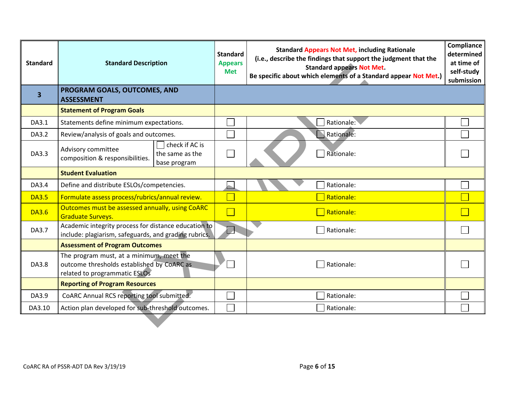| <b>Standard</b> | <b>Standard Description</b>                                                                                             |                                                   | <b>Standard</b><br><b>Appears</b><br><b>Met</b> | <b>Standard Appears Not Met, including Rationale</b><br>(i.e., describe the findings that support the judgment that the<br><b>Standard appears Not Met.</b><br>Be specific about which elements of a Standard appear Not Met.) | Compliance<br>determined<br>at time of<br>self-study<br>submission |
|-----------------|-------------------------------------------------------------------------------------------------------------------------|---------------------------------------------------|-------------------------------------------------|--------------------------------------------------------------------------------------------------------------------------------------------------------------------------------------------------------------------------------|--------------------------------------------------------------------|
| 3               | PROGRAM GOALS, OUTCOMES, AND<br><b>ASSESSMENT</b>                                                                       |                                                   |                                                 |                                                                                                                                                                                                                                |                                                                    |
|                 | <b>Statement of Program Goals</b>                                                                                       |                                                   |                                                 |                                                                                                                                                                                                                                |                                                                    |
| DA3.1           | Statements define minimum expectations.                                                                                 |                                                   |                                                 | Rationale:                                                                                                                                                                                                                     |                                                                    |
| DA3.2           | Review/analysis of goals and outcomes.                                                                                  |                                                   |                                                 | Rationale:                                                                                                                                                                                                                     |                                                                    |
| DA3.3           | Advisory committee<br>composition & responsibilities.                                                                   | check if AC is<br>the same as the<br>base program |                                                 | Rationale:                                                                                                                                                                                                                     |                                                                    |
|                 | <b>Student Evaluation</b>                                                                                               |                                                   |                                                 |                                                                                                                                                                                                                                |                                                                    |
| DA3.4           | Define and distribute ESLOs/competencies.                                                                               |                                                   |                                                 | Rationale:                                                                                                                                                                                                                     |                                                                    |
| <b>DA3.5</b>    | Formulate assess process/rubrics/annual review.                                                                         |                                                   |                                                 | Rationale:                                                                                                                                                                                                                     |                                                                    |
| <b>DA3.6</b>    | Outcomes must be assessed annually, using CoARC<br><b>Graduate Surveys.</b>                                             |                                                   |                                                 | Rationale:                                                                                                                                                                                                                     |                                                                    |
| DA3.7           | Academic integrity process for distance education to<br>include: plagiarism, safeguards, and grading rubrics.           |                                                   | $\sqcup$                                        | Rationale:                                                                                                                                                                                                                     |                                                                    |
|                 | <b>Assessment of Program Outcomes</b>                                                                                   |                                                   |                                                 |                                                                                                                                                                                                                                |                                                                    |
| DA3.8           | The program must, at a minimum, meet the<br>outcome thresholds established by CoARC as<br>related to programmatic ESLOs |                                                   |                                                 | Rationale:                                                                                                                                                                                                                     |                                                                    |
|                 | <b>Reporting of Program Resources</b>                                                                                   |                                                   |                                                 |                                                                                                                                                                                                                                |                                                                    |
| DA3.9           | CoARC Annual RCS reporting tool submitted.                                                                              |                                                   |                                                 | Rationale:                                                                                                                                                                                                                     |                                                                    |
| DA3.10          | Action plan developed for sub-threshold outcomes.                                                                       |                                                   |                                                 | Rationale:                                                                                                                                                                                                                     |                                                                    |
|                 |                                                                                                                         |                                                   |                                                 |                                                                                                                                                                                                                                |                                                                    |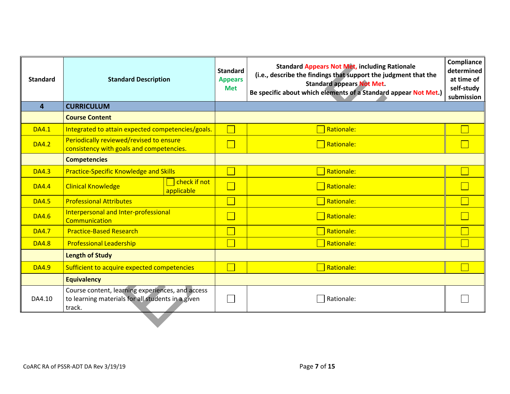| <b>Standard</b> | <b>Standard Description</b>                                                                                     |                            | <b>Standard</b><br><b>Appears</b><br><b>Met</b> | <b>Standard Appears Not Met, including Rationale</b><br>(i.e., describe the findings that support the judgment that the<br><b>Standard appears Not Met.</b><br>Be specific about which elements of a Standard appear Not Met.) | Compliance<br>determined<br>at time of<br>self-study<br>submission |
|-----------------|-----------------------------------------------------------------------------------------------------------------|----------------------------|-------------------------------------------------|--------------------------------------------------------------------------------------------------------------------------------------------------------------------------------------------------------------------------------|--------------------------------------------------------------------|
| $\overline{4}$  | <b>CURRICULUM</b>                                                                                               |                            |                                                 |                                                                                                                                                                                                                                |                                                                    |
|                 | <b>Course Content</b>                                                                                           |                            |                                                 |                                                                                                                                                                                                                                |                                                                    |
| <b>DA4.1</b>    | Integrated to attain expected competencies/goals.                                                               |                            |                                                 | Rationale:                                                                                                                                                                                                                     |                                                                    |
| <b>DA4.2</b>    | Periodically reviewed/revised to ensure<br>consistency with goals and competencies.                             |                            |                                                 | Rationale:                                                                                                                                                                                                                     |                                                                    |
|                 | <b>Competencies</b>                                                                                             |                            |                                                 |                                                                                                                                                                                                                                |                                                                    |
| <b>DA4.3</b>    | <b>Practice-Specific Knowledge and Skills</b>                                                                   |                            |                                                 | Rationale:                                                                                                                                                                                                                     |                                                                    |
| <b>DA4.4</b>    | <b>Clinical Knowledge</b>                                                                                       | check if not<br>applicable |                                                 | Rationale:                                                                                                                                                                                                                     |                                                                    |
| <b>DA4.5</b>    | <b>Professional Attributes</b>                                                                                  |                            |                                                 | Rationale:                                                                                                                                                                                                                     |                                                                    |
| <b>DA4.6</b>    | Interpersonal and Inter-professional<br>Communication                                                           |                            |                                                 | $\overline{\phantom{a}}$ Rationale:                                                                                                                                                                                            |                                                                    |
| <b>DA4.7</b>    | <b>Practice-Based Research</b>                                                                                  |                            |                                                 | Rationale:                                                                                                                                                                                                                     |                                                                    |
| <b>DA4.8</b>    | <b>Professional Leadership</b>                                                                                  |                            |                                                 | Rationale:                                                                                                                                                                                                                     |                                                                    |
|                 | <b>Length of Study</b>                                                                                          |                            |                                                 |                                                                                                                                                                                                                                |                                                                    |
| <b>DA4.9</b>    | Sufficient to acquire expected competencies                                                                     |                            |                                                 | Rationale:                                                                                                                                                                                                                     |                                                                    |
|                 | <b>Equivalency</b>                                                                                              |                            |                                                 |                                                                                                                                                                                                                                |                                                                    |
| DA4.10          | Course content, learning experiences, and access<br>to learning materials for all students in a given<br>track. |                            |                                                 | Rationale:                                                                                                                                                                                                                     |                                                                    |
|                 |                                                                                                                 |                            |                                                 |                                                                                                                                                                                                                                |                                                                    |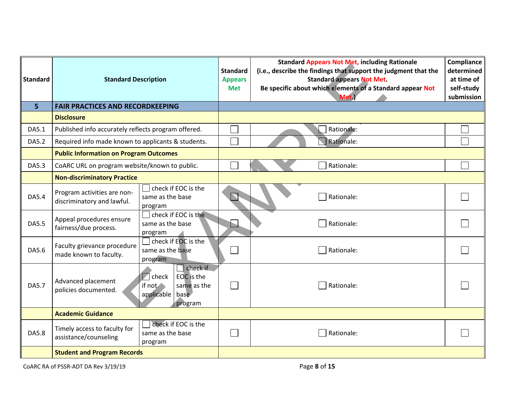| <b>Standard</b> | <b>Standard Description</b>                               |                                                                                                          | <b>Standard</b><br><b>Appears</b><br><b>Met</b> | <b>Standard Appears Not Met, including Rationale</b><br>(i.e., describe the findings that support the judgment that the<br><b>Standard appears Not Met.</b><br>Be specific about which elements of a Standard appear Not<br>Met.) | Compliance<br>determined<br>at time of<br>self-study<br>submission |
|-----------------|-----------------------------------------------------------|----------------------------------------------------------------------------------------------------------|-------------------------------------------------|-----------------------------------------------------------------------------------------------------------------------------------------------------------------------------------------------------------------------------------|--------------------------------------------------------------------|
| 5 <sup>1</sup>  | <b>FAIR PRACTICES AND RECORDKEEPING</b>                   |                                                                                                          |                                                 |                                                                                                                                                                                                                                   |                                                                    |
|                 | <b>Disclosure</b>                                         |                                                                                                          |                                                 |                                                                                                                                                                                                                                   |                                                                    |
| DA5.1           | Published info accurately reflects program offered.       |                                                                                                          |                                                 | Rationale:                                                                                                                                                                                                                        |                                                                    |
| DA5.2           | Required info made known to applicants & students.        |                                                                                                          |                                                 | Rationale:                                                                                                                                                                                                                        |                                                                    |
|                 | <b>Public Information on Program Outcomes</b>             |                                                                                                          |                                                 |                                                                                                                                                                                                                                   |                                                                    |
| DA5.3           | CoARC URL on program website/known to public.             |                                                                                                          |                                                 | Rationale:                                                                                                                                                                                                                        |                                                                    |
|                 | <b>Non-discriminatory Practice</b>                        |                                                                                                          |                                                 |                                                                                                                                                                                                                                   |                                                                    |
| DA5.4           | Program activities are non-<br>discriminatory and lawful. | check if EOC is the<br>same as the base<br>program                                                       |                                                 | Rationale:                                                                                                                                                                                                                        |                                                                    |
| DA5.5           | Appeal procedures ensure<br>fairness/due process.         | check if EOC is the<br>same as the base<br>program                                                       | ĥ.                                              | Rationale:                                                                                                                                                                                                                        |                                                                    |
| DA5.6           | Faculty grievance procedure<br>made known to faculty.     | check if EOC is the<br>same as the base<br>program                                                       |                                                 | Rationale:                                                                                                                                                                                                                        |                                                                    |
| DA5.7           | Advanced placement<br>policies documented.                | check if<br>EOC is the<br>$\blacksquare$ check<br>if not<br>same as the<br>applicable<br>base<br>program |                                                 | Rationale:                                                                                                                                                                                                                        |                                                                    |
|                 | <b>Academic Guidance</b>                                  |                                                                                                          |                                                 |                                                                                                                                                                                                                                   |                                                                    |
| DA5.8           | Timely access to faculty for<br>assistance/counseling     | check if EOC is the<br>same as the base<br>program                                                       |                                                 | Rationale:                                                                                                                                                                                                                        |                                                                    |
|                 | <b>Student and Program Records</b>                        |                                                                                                          |                                                 |                                                                                                                                                                                                                                   |                                                                    |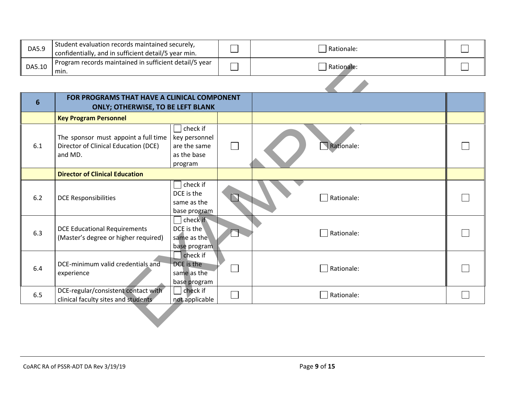| DA5.9  | Student evaluation records maintained securely,<br>confidentially, and in sufficient detail/5 year min. |   | l Rationale:          |  |
|--------|---------------------------------------------------------------------------------------------------------|---|-----------------------|--|
| DA5.10 | Program records maintained in sufficient detail/5 year<br>min.                                          | — | l Ration <b>ale</b> : |  |
|        |                                                                                                         |   |                       |  |

| DA5.10         | Program records maintained in surficient detaily 5 year<br>min.                         |                                                                               |  | Rationale: |  |
|----------------|-----------------------------------------------------------------------------------------|-------------------------------------------------------------------------------|--|------------|--|
|                |                                                                                         |                                                                               |  |            |  |
| $6\phantom{1}$ | FOR PROGRAMS THAT HAVE A CLINICAL COMPONENT<br><b>ONLY; OTHERWISE, TO BE LEFT BLANK</b> |                                                                               |  |            |  |
|                | <b>Key Program Personnel</b>                                                            |                                                                               |  |            |  |
| 6.1            | The sponsor must appoint a full time<br>Director of Clinical Education (DCE)<br>and MD. | $\exists$ check if<br>key personnel<br>are the same<br>as the base<br>program |  | Rationale: |  |
|                | <b>Director of Clinical Education</b>                                                   |                                                                               |  |            |  |
| 6.2            | <b>DCE Responsibilities</b>                                                             | $\sqrt{\ }$ check if<br>DCE is the<br>same as the<br>base program             |  | Rationale: |  |
| 6.3            | <b>DCE Educational Requirements</b><br>(Master's degree or higher required)             | check if<br>$DCE$ is the<br>same as the<br>base program                       |  | Rationale: |  |
| 6.4            | DCE-minimum valid credentials and<br>experience                                         | check if<br>DCE is the<br>same as the<br>base program                         |  | Rationale: |  |
| 6.5            | DCE-regular/consistent contact with<br>clinical faculty sites and students              | check if<br>not applicable                                                    |  | Rationale: |  |
|                |                                                                                         |                                                                               |  |            |  |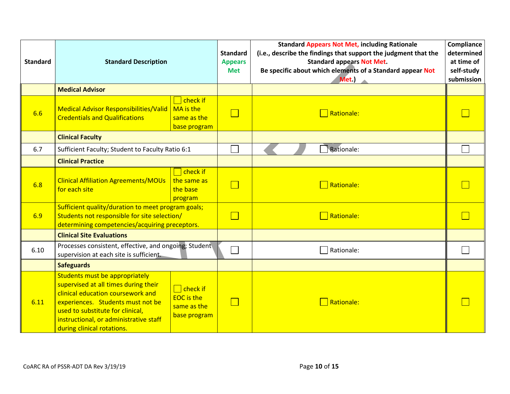| <b>Standard</b> | <b>Standard Description</b>                                                                                                                                                                                                                                  |                                                                     |        | <b>Standard Appears Not Met, including Rationale</b><br>(i.e., describe the findings that support the judgment that the<br><b>Standard appears Not Met.</b><br>Be specific about which elements of a Standard appear Not<br>Met.) | <b>Compliance</b><br>determined<br>at time of<br>self-study<br>submission |
|-----------------|--------------------------------------------------------------------------------------------------------------------------------------------------------------------------------------------------------------------------------------------------------------|---------------------------------------------------------------------|--------|-----------------------------------------------------------------------------------------------------------------------------------------------------------------------------------------------------------------------------------|---------------------------------------------------------------------------|
|                 | <b>Medical Advisor</b>                                                                                                                                                                                                                                       |                                                                     |        |                                                                                                                                                                                                                                   |                                                                           |
| 6.6             | <b>Medical Advisor Responsibilities/Valid</b><br><b>Credentials and Qualifications</b>                                                                                                                                                                       | $\Box$ check if<br>MA is the<br>same as the<br>base program         | $\Box$ | Rationale:                                                                                                                                                                                                                        |                                                                           |
|                 | <b>Clinical Faculty</b>                                                                                                                                                                                                                                      |                                                                     |        |                                                                                                                                                                                                                                   |                                                                           |
| 6.7             | Sufficient Faculty; Student to Faculty Ratio 6:1                                                                                                                                                                                                             |                                                                     | Ξ      | Rationale:                                                                                                                                                                                                                        |                                                                           |
|                 | <b>Clinical Practice</b>                                                                                                                                                                                                                                     |                                                                     |        |                                                                                                                                                                                                                                   |                                                                           |
| 6.8             | <b>Clinical Affiliation Agreements/MOUs</b><br>for each site                                                                                                                                                                                                 | $\Box$ check if<br>the same as<br>the base<br>program               | $\Box$ | Rationale:                                                                                                                                                                                                                        |                                                                           |
| 6.9             | Sufficient quality/duration to meet program goals;<br>Students not responsible for site selection/<br>determining competencies/acquiring preceptors.                                                                                                         |                                                                     | $\Box$ | Rationale:                                                                                                                                                                                                                        |                                                                           |
|                 | <b>Clinical Site Evaluations</b>                                                                                                                                                                                                                             |                                                                     |        |                                                                                                                                                                                                                                   |                                                                           |
| 6.10            | Processes consistent, effective, and ongoing; Student<br>supervision at each site is sufficient.                                                                                                                                                             |                                                                     | $\Box$ | Rationale:                                                                                                                                                                                                                        |                                                                           |
|                 | <b>Safeguards</b>                                                                                                                                                                                                                                            |                                                                     |        |                                                                                                                                                                                                                                   |                                                                           |
| 6.11            | Students must be appropriately<br>supervised at all times during their<br>clinical education coursework and<br>experiences. Students must not be<br>used to substitute for clinical,<br>instructional, or administrative staff<br>during clinical rotations. | $\Box$ check if<br><b>EOC</b> is the<br>same as the<br>base program |        | Rationale:                                                                                                                                                                                                                        |                                                                           |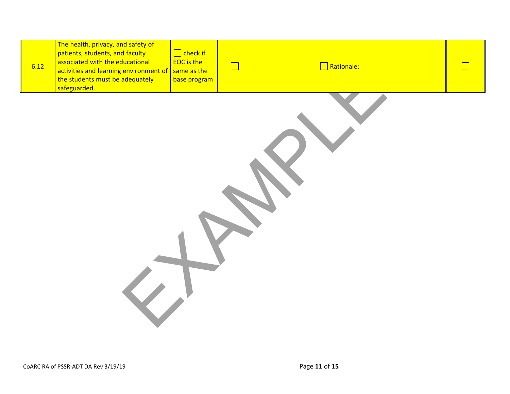| 6.12 | The health, privacy, and safety of<br>patients, students, and faculty<br>associated with the educational<br>activities and learning environment of<br>the students must be adequately<br>safeguarded. | $\Box$ check if<br><b>EOC</b> is the<br>same as the<br>base program | $\Box$ | $\Box$ Rationale: |  |
|------|-------------------------------------------------------------------------------------------------------------------------------------------------------------------------------------------------------|---------------------------------------------------------------------|--------|-------------------|--|
|      |                                                                                                                                                                                                       |                                                                     |        |                   |  |
|      |                                                                                                                                                                                                       |                                                                     |        |                   |  |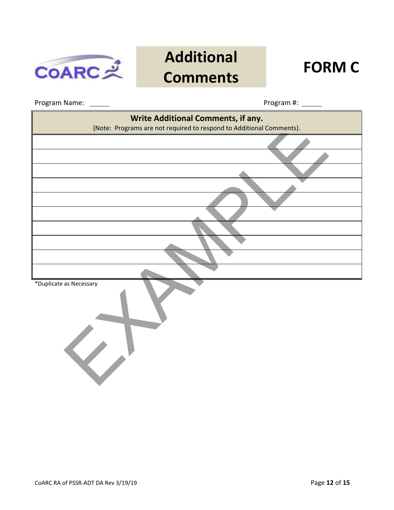

## **Additional Comments FORM C**

Program Name: Program #:

| Write Additional Comments, if any.<br>(Note: Programs are not required to respond to Additional Comments). |
|------------------------------------------------------------------------------------------------------------|
|                                                                                                            |
|                                                                                                            |
|                                                                                                            |
|                                                                                                            |
|                                                                                                            |
|                                                                                                            |
|                                                                                                            |
|                                                                                                            |
|                                                                                                            |
| *Duplicate as Necessary                                                                                    |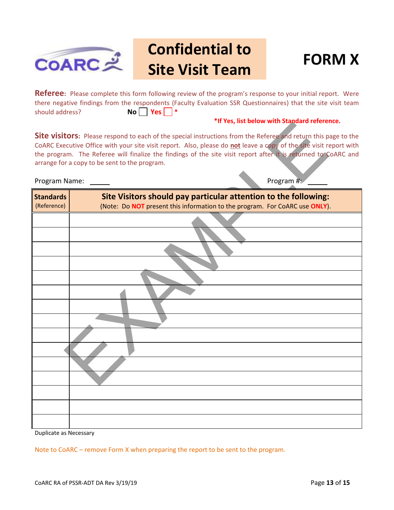

## **Confidential to Site Visit Team FORM X**



**Referee:** Please complete this form following review of the program's response to your initial report. Were there negative findings from the respondents (Faculty Evaluation SSR Questionnaires) that the site visit team should address? **No Yes | \*** 

#### **\*If Yes, list below with Standard reference.**

|                                                                                                                                                                                                                                                                                                                                                                                                                                               | Thes, itsubelow with standard reference.                                                                                                       |  |  |  |
|-----------------------------------------------------------------------------------------------------------------------------------------------------------------------------------------------------------------------------------------------------------------------------------------------------------------------------------------------------------------------------------------------------------------------------------------------|------------------------------------------------------------------------------------------------------------------------------------------------|--|--|--|
| <b>Site visitors:</b> Please respond to each of the special instructions from the Referee and return this page to the<br>CoARC Executive Office with your site visit report. Also, please do not leave a copy of the site visit report with<br>the program. The Referee will finalize the findings of the site visit report after it is returned to CoARC and<br>arrange for a copy to be sent to the program.<br>Program #:<br>Program Name: |                                                                                                                                                |  |  |  |
| <b>Standards</b>                                                                                                                                                                                                                                                                                                                                                                                                                              |                                                                                                                                                |  |  |  |
| (Reference)                                                                                                                                                                                                                                                                                                                                                                                                                                   | Site Visitors should pay particular attention to the following:<br>(Note: Do NOT present this information to the program. For CoARC use ONLY). |  |  |  |
|                                                                                                                                                                                                                                                                                                                                                                                                                                               |                                                                                                                                                |  |  |  |
|                                                                                                                                                                                                                                                                                                                                                                                                                                               |                                                                                                                                                |  |  |  |
|                                                                                                                                                                                                                                                                                                                                                                                                                                               |                                                                                                                                                |  |  |  |
|                                                                                                                                                                                                                                                                                                                                                                                                                                               |                                                                                                                                                |  |  |  |
|                                                                                                                                                                                                                                                                                                                                                                                                                                               |                                                                                                                                                |  |  |  |
|                                                                                                                                                                                                                                                                                                                                                                                                                                               |                                                                                                                                                |  |  |  |
|                                                                                                                                                                                                                                                                                                                                                                                                                                               |                                                                                                                                                |  |  |  |
|                                                                                                                                                                                                                                                                                                                                                                                                                                               |                                                                                                                                                |  |  |  |
|                                                                                                                                                                                                                                                                                                                                                                                                                                               |                                                                                                                                                |  |  |  |
|                                                                                                                                                                                                                                                                                                                                                                                                                                               |                                                                                                                                                |  |  |  |
|                                                                                                                                                                                                                                                                                                                                                                                                                                               |                                                                                                                                                |  |  |  |
|                                                                                                                                                                                                                                                                                                                                                                                                                                               |                                                                                                                                                |  |  |  |
|                                                                                                                                                                                                                                                                                                                                                                                                                                               |                                                                                                                                                |  |  |  |
|                                                                                                                                                                                                                                                                                                                                                                                                                                               |                                                                                                                                                |  |  |  |
|                                                                                                                                                                                                                                                                                                                                                                                                                                               |                                                                                                                                                |  |  |  |
|                                                                                                                                                                                                                                                                                                                                                                                                                                               |                                                                                                                                                |  |  |  |

Duplicate as Necessary

Note to CoARC – remove Form X when preparing the report to be sent to the program.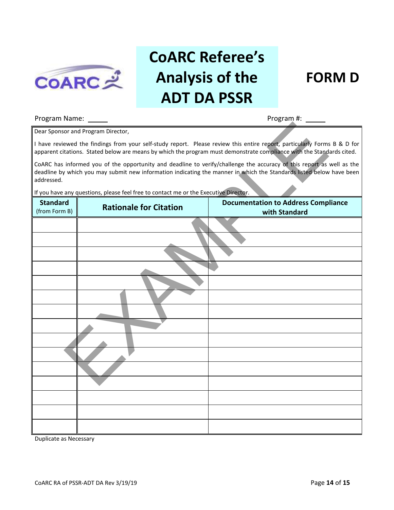

# **CoARC Referee's Analysis of the ADT DA PSSR**

### **FORM D**

#### Program Name: Program #:

| Dear Sponsor and Program Director,                                                                                                                                                                                                                          |                               |                                                             |  |
|-------------------------------------------------------------------------------------------------------------------------------------------------------------------------------------------------------------------------------------------------------------|-------------------------------|-------------------------------------------------------------|--|
| I have reviewed the findings from your self-study report. Please review this entire report, particularly Forms B & D for<br>apparent citations. Stated below are means by which the program must demonstrate compliance with the Standards cited.           |                               |                                                             |  |
| CoARC has informed you of the opportunity and deadline to verify/challenge the accuracy of this report as well as the<br>deadline by which you may submit new information indicating the manner in which the Standards listed below have been<br>addressed. |                               |                                                             |  |
| If you have any questions, please feel free to contact me or the Executive Director.                                                                                                                                                                        |                               |                                                             |  |
| <b>Standard</b><br>(from Form B)                                                                                                                                                                                                                            | <b>Rationale for Citation</b> | <b>Documentation to Address Compliance</b><br>with Standard |  |
|                                                                                                                                                                                                                                                             |                               |                                                             |  |
|                                                                                                                                                                                                                                                             |                               |                                                             |  |
|                                                                                                                                                                                                                                                             |                               |                                                             |  |
|                                                                                                                                                                                                                                                             |                               |                                                             |  |
|                                                                                                                                                                                                                                                             |                               |                                                             |  |
|                                                                                                                                                                                                                                                             |                               |                                                             |  |
|                                                                                                                                                                                                                                                             |                               |                                                             |  |
|                                                                                                                                                                                                                                                             |                               |                                                             |  |
|                                                                                                                                                                                                                                                             |                               |                                                             |  |
|                                                                                                                                                                                                                                                             |                               |                                                             |  |
|                                                                                                                                                                                                                                                             |                               |                                                             |  |
|                                                                                                                                                                                                                                                             |                               |                                                             |  |
|                                                                                                                                                                                                                                                             |                               |                                                             |  |
|                                                                                                                                                                                                                                                             |                               |                                                             |  |
|                                                                                                                                                                                                                                                             |                               |                                                             |  |

Duplicate as Necessary